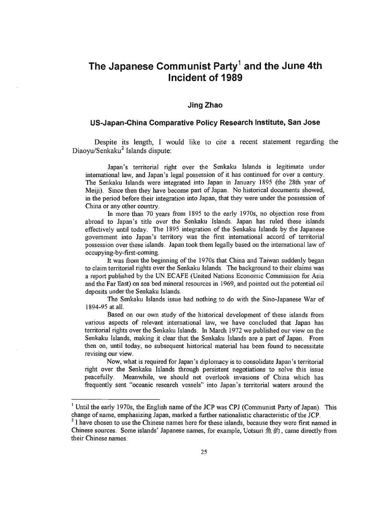## The Japanese Communist Party<sup>1</sup> and the June 4th Incident of 1989

## Jing Zhao

## US-Japan-China Comparative Policy Research Institute, San Jose

Despite its length, I would like to cite a recent statement regarding the

Japan's territorial right over the Senkaku Islands is legitimate under international law, and Japan's legal possession of it has continued for over a century. The Senkaku Islands were integrated into Japan in January 1895 (the 28th year of Meiji). Since then they have become part of Japan. No historical documents showed, in the period before their integration into Japan, that they were under the possession of China or any other country.

In more than 70 years from 1895 to the early 1970s, no objection rose from abroad to Japan's title over the Senkaku Islands. Japan has ruled these islands effectively until today. The 1895 integration of the Senkaku Islands by the Japanese government into Japan's territory was the first international accord of territorial possession over these islands. Japan took them legally based on the international law of possosion ovoi dioso islam occupying-by-first-coming.<br>It was from the beginning of the 1970s that China and Taiwan suddenly began

to claim territorial rights over the Senkaku Islands. The background to their claims was a report published by the UN ECAFE (United Nations Economic Commission for Asia and the Far East) on sea bed mineral resources in 1969, and pointed out the potential oil dit die Fast van de Ood Inniera deposits under the Senkaku Islands.<br>The Senkaku Islands issue had nothing to do with the Sino-Japanese War of

1894-95 at all.

Based on our own study of the historical development of these islands from various aspects of relevant international law, we have concluded that Japan has territorial rights over the Senkaku Islands. In March 1972 we published our view on the Senkaku Islands, making it clear that the Senkaku Islands are a part of Japan. From then on, until today, no subsequent historical material has been found to necessitate revising our view.

Now, what is required for Japan's diplomacy is to consolidate Japan's territorial right over the Senkaku Islands through persistent negotiations to solve this issue peacefully. Meanwhile, we should not overlook invasions of China which has frequently sent "oceanic research vessels" into Japan's territorial waters around the

 $1$  Until the early 1970s, the English name of the JCP was CPJ (Communist Party of Japan). This change of name, emphasizing Japan, marked a further nationalistic characteristic of the JCP.<br><sup>2</sup> I have chosen to use the Chinese names here for these islands, because they were first named in

Chinese sources. Some islands' Japanese names, for example, Uotsuri  $\oplus$   $\oplus$ , came directly from their Chinese names.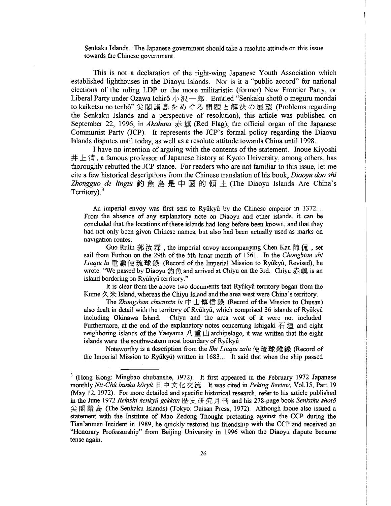Senkaku Islands. The Japanese government should take a resolute attitude on this issue towards the Chinese govemment.

This is not a declaration of the right-wing Japanese Youth Association which established lighthouses in the Diaoyu Islands. Nor is it a "public accord" for national elections of the ruling LDP or the more militaristic (former) New Frontier Party, or Liberal Darty under Ozawa Ichiro, J, 30 a. 40 a. Entitled "Control" private a meguru mondai to the trace substitute the control of  $\eta \gamma$   $\eta$  =  $\eta$ . Entitled Seinard shoto o inegural mondal to kaiketsu no tenbô" 尖閣諸島をめぐる問題と解決の展望 (Problems regarding<br>the Senkaku Islands and a perspective of resolution), this article was published on September 22, 1996, in Akahata  $\frac{1}{37}$   $\frac{1}{37}$  (Red Flag), the official organ of the Japanese Communist Party (JCP). It represents the JCP's formal policy regarding the Diaoyu Islands disputes until today, as well as a resolute attitude towards China until 1998.

I have no intention of arguing with the contents of the statement. Inoue Kiyoshi  $\# \perp \#$ , a famous professor of Japanese history at Kyoto University, among others, has thoroughly rebutted the JCP stance. For readers who are not familiar to this issue, let me cite a few historical descriptions from the Chinese translation of his book, Diaoyu dao shi che a few instorted descriptions from the Chinese translation of ms book, *Didoyu ddo shi*ne Zhongguo de *lingtu* 釣魚島是中國的領土(The Diaoyu Islands Are China's

An imperial envoy was first sent to Ryûkyû by the Chinese emperor in 1372... From the absence of was much sent to Kyukyu by the Chinese emperor in  $1572...$ come the absence of any explanatory note on Diaoyu and other islands, it can be been and not only been given Chinese islams had long before been allowing and that they nav not only occu funder in avigation routes.<br>Guo Rulin  $\frac{m}{K}$   $\chi$   $\frac{m}{K}$ , the imperial envoy accompanying Chen Kan  $\left[\frac{m}{K}, \frac{m}{K}\right]$ 

sail from Fuzhou on the 29th of the 5th lunar month of 1561. In the Chongbian shi sall from Fuznou on the 29th of the Sth lunar month of 1501. In the Chongoian shi Liuqiu lu 重編使琉球錄 (Record of the Imperial Mission to Ryûkyû, Revised), he wrote: "We passed by Diaoyu 釣魚 and arrived at Chiyu on the 3rd. Chiyu 赤嶼 is an island bordering on Ryûkyû territory."

It is clear from the above two documents that Ryûkyû territory began from the It is cieal from the above two documents that Nyukyu territory began from the Kume  $A \nrightarrow K$  Island, whereas the Chival Island and the area west were China's territory.  $\sqrt{\pi}$  island, whereas the Chiyu island and the area west were China s territory.

also dealt in detail with the territory of Ryfikyfi, which comprised 36 islands of Ryfikyfi including Okinawa Island. Chiyu and the area west of it were not included. Furthermore, at the end of the explanatory notes concerning Ishigaki  $\overline{4}$  is and eight neighboring islands of the Yaeyama  $\overline{1}$  is  $\overline{1}$  archipelago, it was written that the eight islands were the southwestern most boundary of Ryûkyû. Note the Southwestern most boundary of Ryukyu.<br>Note with the Sheet of the Sheet of the Sheet of the Sheet of the Sheet of the Sheet of the Sheet of the Sheet

 $t_{\text{tot}}$  is a description from the *SM Energia zura*  $|\mathcal{X}|\neq 0$  and when the solution

 $<sup>3</sup>$  (Hong Kong: Mingbao chubanshe, 1972). It first appeared in the February 1972 Japanese</sup> monthly Nit-Chû bunka kôryû 日中文化交流. It was cited in Peking Review, Vol.15, Part 19  $(10.12, 197)$ . For more detailed and specific historical research, refer to  $\frac{1}{2}$ (iviay 12, 1972). For filter detailed and spectric filstorical research, feter to his article published in the June 1972 Rekishi kenkyû gekkan 歴史研究月刊 and his 278-page book Senkaku shotô 尖閣諸島 (The Senkaku Islands) (Tokyo: Daisan Press, 1972). Although Inoue also issued a statement with the Institute of Mao Zedong Thought protesting against the CCP during the Tian'anmen Incident in 1989, he quickly restored his friendship with the CCP and received an That all the Highest H 1999, he quickly rescored institutionally while DCF and received an "Honorary Professorship" from Beijing University in 1996 when the Diaoyu dispute became tense again.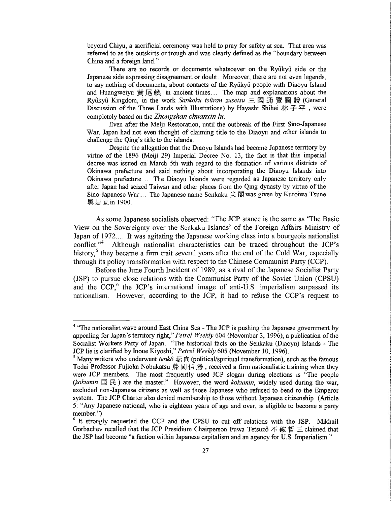beyond Chiyu, a sacrificial ceremony was held to pray for safety at sea. That area was referred to as the outskirts or trough and was clearly defined as the "boundary between China and a foreign land."

There are no records or documents whatsoever on the Ryûkyû side or the Japanese side expressing disagreement or doubt. Moreover, there are not even legends, to say nothing of documents, about contacts of the Ryfikyfi people with Diaoyu Island  $\frac{1}{2}$  and Huangweise  $\frac{1}{2}$   $\frac{1}{2}$   $\frac{1}{2}$  is an ancient times The map and explanations about the  $R_1$  and ruangweizu  $R_2$  is  $R_3$  in ancient times. The map and explanations about the  $R_1$ Ryûkyû Kingdom, in the work *Sankoku tsûran zusetsu* 三國通覽圖說 (General Discussion of the Three Lands with Illustrations) by Hayashi Shihei 林子平, were completely based on the Zhongshan chuanxin lu.

Even after the Melji Restoration, until the outbreak of the First Sine-Japanese War, Japan had not even thought of claiming title to the Diaoyu and other islands to challenge the Qing's title to the islands.

Despite the allegation that the Diaoyu Islands had become Japanese territory by virtue of the 1896 (Meiji 29) Imperial Decree No. 13, the fact is that this imperial decree was issued on March 5th with regard to the formation of various districts of Okinawa prefecture and said nothing about incorporating the Diaoyu Islands into Okinawa prefecture.... The Diaoyu Islands were regarded as Japanese territory only after Japan had seized Taiwan and other places from the Qing dynasty by virtue of the Sino-Japanese War The Japanese name Senkaku  $\frac{1}{2}$   $\frac{1}{2}$  was given by Kuroiwa Tsune 黑岩亘in 1900.

As some Japanese socialists observed: "The JCP stance is the same as 'The Basic View on the Sovereignty over the Senkaku Islands' of the Foreign Affairs Ministry of Japan of 1972.... It was agitating the Japanese working class into a bourgeois nationalist conflict."<sup>4</sup> Although nationalist characteristics can be traced throughout the JCP's history,<sup>5</sup> they became a firm trait several years after the end of the Cold War, especially through its policy transformation with respect to the Chinese Communist Party (CCP).

Before the June Fourth Incident of 1989, as a rival of the Japanese Socialist Party (JSP) to pursue close relations with the Communist Party of the Soviet Union (CPSU) and the  $CCP<sub>1</sub><sup>6</sup>$  the JCP's international image of anti-U.S. imperialism surpassed its nationalism. However, according to the JCP, it had to refuse the CCP's request to

<sup>&</sup>lt;sup>4</sup> "The nationalist wave around East China Sea - The JCP is pushing the Japanese government by appealing for Japan's territory right," *Petrel Weekly* 604 (November 3, 1996), a publication of the Socialist Workers Party of Japan. "The historical facts on the Senkaku (Diaoyu) Islands - The JCP lie is clarified by Inoue Kiyoshi," Petrel Weekly 605 (November 10, 1996).

<sup>&</sup>lt;sup>5</sup> Many writers who underwent *tenkô*  $\overline{m}$  (political/spiritual transformation), such as the famous Todai Professor Fujioka Nobukatsu  $\frac{126}{100}$   $\frac{126}{100}$  +  $\frac{126}{100}$  +  $\frac{126}{100}$  +  $\frac{126}{100}$  were JCP members. The most frequently used JCP slogan during elections is "The people (kokumin  $\mathbb{E} \boxtimes$ ) are the master." However, the word kokumin, widely used during the war, excluded non-Japanese citizens as well as those Japanese who refused to bend to the Emperor system. The JCP Charter also denied membership to those without Japanese citizenship. (Article  $5.$  "Any Japanese national, who is eighteen years of age and over, is eligible to become a party of  $\sim$  $\frac{1}{2}$ 6 It strongly requested the CCP and the CPSU to cut off relations with the JSP. Mikhail

 $\epsilon$  it strongly requested the CCP and the CPSC to cut on Tetations with the JSP. Witkinsh Gorbachev recalled that the JCP Presidium Chairperson Fuwa Tetsuzô  $\bar{\mathcal{F}}$   $\bar{\mathfrak{w}}$   $\bar{\mathfrak{w}} \equiv$  claimed that the JSP had become "a faction within Japanese capitalism and an agency for U.S. Imperialism."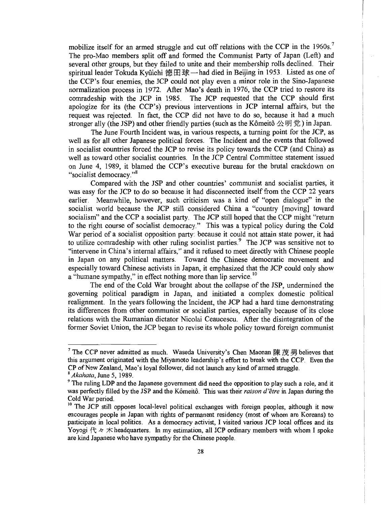mobilize itself for an armed struggle and cut off relations with the CCP in the 1960s.<sup>7</sup> The pro-Mao members split off and formed the Communist Party of Japan (Left) and several other groups, but they failed to unite and their membership rolls declined. Their spiritual leader Tokuda Kyûichi 德田球—had died in Beijing in 1953. Listed as one of the CCP's four enemies, the JCP could not play even a minor role in the Sino-Japanese normalization process in 1972. After Mao's death in 1976, the CCP tried to restore its comradeship with the JCP in 1985. The JCP requested that the CCP should first apologize for its (the CCP's) previous interventions in JCP internal affairs, but the approgree to its (the CCP s) previous mericanisms in for international arians, but the  $\frac{1}{2}$  is the SP and the JSP and the Friendly parties (such as the Kr in  $\frac{1}{2}$   $\frac{1}{2}$ ) in  $\frac{1}{2}$ stronger ally (the JSP) and other friendly parties (such as the Kômeitô  $\triangle$   $\mathfrak{H} \ncong$ ) in Japan.<br>The June Fourth Incident was, in various respects, a turning point for the JCP, as

well as for all other Japanese political forces. The Incident and the events that followed in socialist countries forced the JCP to revise its policy towards the CCP (and China) as well as toward other socialist countries. In the JCP Central Committee statement issued on June 4, 1989, it blamed the CCP's executive bureau for the brutal crackdown on Une 4, 1989, it blamed the CCP's executive bureau for the brutal crackdown on "socialist democracy."<sup>8</sup><br>Compared with the JSP and other countries' communist and socialist parties, it

was easy for the JCP to do so because it had disconnected itself from the CCP 22 years earlier. Meanwhile, however, such criticism was a kind of "open dialogue" in the socialist world because the JCP still considered China a "country [moving] toward socialism" and the CCP a socialist party. The JCP still hoped that the CCP might "return to the right course of socialist democracy." This was a typical policy during the Cold W the right course of socialist democracy. This was a typical policy during the cold War period of a socialist opposition party: because it could not attain state power, it had<br>to utilize comradeship with other ruling socialist parties. The JCP was sensitive not to "intervene in China's internal affairs," and it refused to meet directly with Chinese people in Japan on any political matters. Toward the Chinese democratic movement and especially toward Chinese activists in Japan, it emphasized that the JCP could only show a "humane sympathy," in effect nothing more than lip service.<sup>10</sup>

The end of the Cold War brought about the collapse of the JSP, undermined the governing political paradigm in Japan, and initiated a complex domestic political realignment. In the years following the Incident, the JCP had a hard time demonstrating it differences from other community of the first parties. The socialist parties of its community of its community of its community of its community of its community of its community of its community of its community of its relative the Rumanian dictator Nicolaist parties, especially because of its close relations with the Rumanian dictator Nicolai Ceaucescu. After the disintegration of the former Soviet Union, the JCP began to revise its whole policy toward foreign communist

<sup>&</sup>lt;sup>7</sup> The CCP never admitted as much. Waseda University's Chen Maonan  $\left[\frac{1}{N}, \frac{1}{N}, \frac{1}{N}\right]$  believes that this argument originated with the Miyamoto leadership's effort to break with the CCP. Even the CP of New Zealand, Mao's loyal follower, did not launch any kind of armed struggle.<br>
Sakahata, June 5, 1989.<br>
9 The ruling LDP and the Japanese government did need the opposition to play such a role, and it

was perfectly filled by the JSP and the Kômeitô. This was their *raison d'être* in Japan during the Cold War period.<br><sup>10</sup> The JCP still opposes local-level political exchanges with foreign peoples, although it now

encourages people in Japan with rights of permanent residency (most of whom are Koreans) to participate in local politics. As a democracy activist, I visited various JCP local offices and its Yoyogi  $\forall x \neq x$  headquarters. In my estimation, all JCP ordinary members with whom I spoke are kind Japanese who have sympathy for the Chinese people.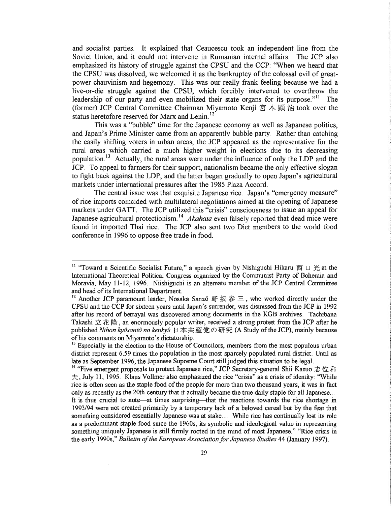and socialist parties. It explained that Ceaucescu took an independent line from the Soviet Union, and it could not intervene in Rumanian internal affairs. The JCP also emphasized its history of struggle against the CPSU and the CCP: "When we heard that the CPSU was dissolved, we welcomed it as the bankruptcy of the colossal evil of greatpower chauvinism and hegemony. This was our really frank feeling because we had a live-or-die struggle against the CPSU, which forcibly intervened to overthrow the leadership of our party and even mobilized their state organs for its purpose."<sup>11</sup> The (former) JCP Central Committee Chairman Miyamoto Kenji  $\pi \neq \mathbb{R}$   $\#$  took over the status heretofore reserved for Marx and Lenin. 12

This was a "bubble" time for the Japanese economy as well as Japanese politics, and Japan's Prime Minister came from an apparently bubble party. Rather than catching the easily shifting voters in urban areas, the JCP appeared as the representative for the rural areas which carried a much higher weight in elections due to its decreasing population.<sup>13</sup> Actually, the rural areas were under the influence of only the LDP and the JCP. To appeal to farmers for their support, nationalism became the only effective slogan to fight back against the LDP, and the latter began gradually to open Japan's agricultural markets under international pressures after the 1985 Plaza Accord.

The central issue was that exquisite Japanese rice. Japan's "emergency measure" of rice imports coincided with multilateral negotiations aimed at the opening of Japanese markets under GATT. The JCP utilized this "crisis" consciousness to issue an appeal for Japanese agricultural protectionism.<sup>14</sup> Akahata even falsely reported that dead mice were found in imported Thai rice. The JCP also sent two Diet members to the world food conference in 1996 to oppose free trade in food.

<sup>&</sup>lt;sup>11</sup> "Toward a Scientific Socialist Future," a speech given by Nishiguchi Hikaru  $\overline{\mathfrak{m}}$   $\Box$   $\mathfrak{S}$  at the I Toward a Document Doctation Theoretical Party of Political Congress of  $P$  and  $P$ International Theoretical Political Congress organized by the Communist Party of Bohemia and Moravia, May 11-12, 1996. Niishiguchi is an alternate member of the JCP Central Committee and head of its International Department.<br><sup>12</sup> Another JCP paramount leader, Nosaka Sanzô 野 坂 参 三, who worked directly under the

CPSU and the CCP for sixteen years until Japan's surrender, was dismissed from the JCP in 1992 after his record of betrayal was discovered among documents in the KGB archives. Tachibana Takashi  $\dot{\mathcal{L}}$  the  $\ddot{\mathcal{L}}$  is an enormously popular writer, received a strong protest from the JCP after he published Nihon kyôsantô no kenkyû 日本共産党の研究 (A Study of the JCP), mainly because of his comments on Miyamoto's dictatorship.<br><sup>13</sup> Especially in the election to the House of Councilors, members from the most populous urban

district represent 6.59 times the population in the most sparcely populated rural district. Until as late as September 1996, the Japanese Supreme Court still judged this situation to be legal.<br><sup>14</sup> "Five emergent proposals to protect Japanese rice," JCP Secretary-general Shii Kazuo  $\pm \alpha$   $\pi$ 

 $\pm$ , July 11, 1995. Klaus Vollmer also emphasized the rice "crisis" as a crisis of identity: "While rice is often seen as the staple food of the people for more than two thousand years, it was in fact only as recently as the 20th century that it actually became the true distance of all Japanese the true daily stated for all Japanese the true daily stated for all Japanese the 20th century of the true daily stated for all  $\sum_{i=1}^n$  is the surprising surprising that it actually occurre the ratio sapple for an saparese. 1993/94 were not created primarily by a temporary lack of a beloved cereal but by the fear that something considered essentially Japanese was at stake... While rice has continually lost its role as a predominant staple food since the 1960s, its symbolic and ideological value in representing something uniquely Japanese is still firmly rooted in the mind of most Japanese." "Rice crisis in the early 1990s," Bulletin of the European Association for Japanese Studies 44 (January 1997).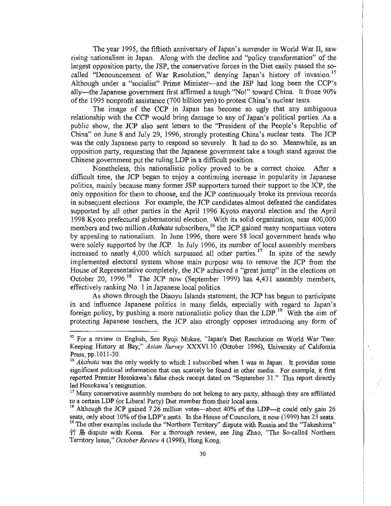The year 1995, the fiftieth anniversary of Japan's surrender in World War II, saw rising nationalism in Japan. Along with the decline and "policy transformation" of the largest opposition party, the JSP, the conservative forces in the Diet easily passed the socalled "Denouncement of War Resolution," denying Japan's history of invasion.<sup>15</sup> Although under a "socialist" Prime Minister—and the JSP had long been the CCP's ally--the Japanese government first affirmed a tough "No!" toward China. It froze 90% of the 1995 nonprofit assistance (700 billion yen) to protest China's nuclear tests.

The image of the CCP in Japan has become so ugly that any ambiguous relationship with the CCP would bring damage to any of Japan's political parties. As a public show, the JCP also sent letters to the "President of the People's Republic of China" on June 8 and July 29, 1996, strongly protesting China's nuclear tests. The JCP was the only Japanese party to respond so severely. It had to do so. Meanwhile, as an opposition party, requesting that the Japanese government take a tough stand against the Chinese government put the ruling LDP in a difficult position.

Nonetheless, this nationalistic policy proved to be a correct choice. After a difficult time, the JCP began to enjoy a continuing increase in popularity in Japanese politics, mainly the JCI degan to choose a continuing increase in populatity in supports to poneros, mainly occasion filing for the supporters turned them support to the JCP, the only opposition for them to choose, and the JCP continuously broke its previous records in subsequent elections. For example, the JCP candidates almost defeated the candidates supported by all other parties in the April 1996 Kyoto mayoral election and the April 1998 Kyoto prefectural gubernatorial election. With its solid organization, near 400,000 members and two million *Akahata* subscribers,<sup>16</sup> the JCP gained many nonpartisan voters by appealing to nationalism. In June 1996, there were 58 local government heads who were solely supported by the JCP. In July 1996, its number of local assembly members increased to nearly 4,000 which surpassed all other parties.<sup>17</sup> In spite of the newly implemented electoral system whose main purpose was to remove the JCP from the House of Representative completely, the JCP achieved a "great jump" in the elections on October 20, 1996.<sup>18</sup> The JCP now (September 1999) has 4,431 assembly members, effectively ranking No. 1 in Japanese local politics.

As shown through the Diaoyu Islands statement, the JCP has begun to participate in and influence Japanese politics in many fields, especially with regard to Japan's foreign policy, by pushing a more nationalistic policy than the LDP.<sup>19</sup> With the aim of protecting Japanese teachers, the JCP also strongly opposes introducing any form of

<sup>&</sup>lt;sup>15</sup> For a review in English, See Ryuji Mukae, "Japan's Diet Resolution on World War Two: Keeping History at Bay," Asian Survey XXXVI.10 (October 1996), University of California<br>Press, pp. 1011-30.<br><sup>16</sup> Akahata was the only weekly to which I subscribed when I was in Japan. It provides some

significant political information that can scarcely be found in other media. For example, it first reported Premier Hosokawa's false check receipt dated on "September 31." This report directly led Hosokawa's resignation.<br><sup>17</sup> Many conservative assembly members do not belong to any party, although they are affiliated

to a certain LDP (or Liberal Party) Diet member from their local area.<br><sup>18</sup> Although the JCP gained 7.26 million votes—about 40% of the LDP—it could only gain 26

seats, only about 10% of the LDP's seats. In the House of Councilors, it now (1999) has 23 seats. <sup>19</sup> The other examples include the "Northern Territory" dispute with Russia and the "Takeshima"  $\hat{P}$   $\hat{E}$  dispute with Korea. For a thorough review, see Jing Zhao, "The So-called Northern Territory Issue," *October Review* 4 (1998), Hong Kong.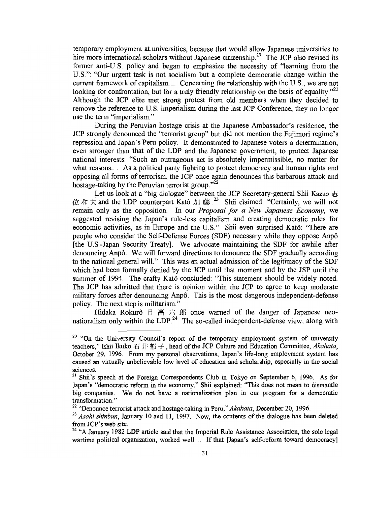temporary employment at universities, because that would allow Japanese universities to highly more international scholars with the Japanese control sites to former and the necessarily and began to employ the necessity of the necessity of the necessity of  $\alpha$  is  $\alpha$ former anti-U.S. policy and began to emphasize the necessity of "learning from the U.S.": "Our urgent task is not socialism but a complete democratic change within the current framework of capitalism.... Concerning the relationship with the U.S., we are not confunction for confrontation, but for a truly friendly relationship with the  $\sim$ ..., we are not  $\frac{1}{4}$  for component on our total theory intended protest from the basis of equality. Although the JCP elite met strong protest from old members when they decided to remove the reference to U.S. imperialism during the last JCP Conference, they no longer use the term "imperialism."

During the Peruvian hostage crisis at the Japanese Ambassador's residence, the JCP strongly denounced the "terrorist group" but did not mention the Fujimori regime's repression and Japan's Peru policy. It demonstrated to Japanese voters a determination, even stronger than that of the LDP and the Japa national interests: "Such an outrageous act is absolutely impermissible, no matter for what reasons.... As a political party fighting to protect democracy and human rights and opposing all forms of terrorism, the JCP once again denounces this barbarous attack and hostage-taking by the Peruvian terrorist group."<sup>22</sup>

raking by the 1 cravian terrorist group.<br>Let us look at a "big dialogue" between the JCP Secretary-general Shii Kazuo <del>, ..</del> 4£ • • and the LDP counterpart Kat6 •[• )• .:3 Shii claimed: "Certainly, we will not remain only as the opposition. In our *Proposal for a New Japanese Economy*, we suggested revising the Japan's rule-less capitalism and creating democratic rules for economic activities, as in Europe and the U.S." Shii even surprised Kat6: "There are pronounce activities, as in Europe and the O.S. Shiff even surprised Kato. There are people who consider the Sen-Detense Forces (SDF) hecessary while they oppose Alipo [the U.S.-Japan Security Treaty]. We advocate maintaining the SDF for awhile after denouncing Anpô. We will forward directions to denounce the SDF gradually according to the national general will." This was an actual admission of the legitimacy of the SDF which had been formally denied by the JCP until that moment and by the JSP until the summer of 1994. The crafty Katô concluded: "This statement should be widely noted. The JCP has admitted that there is opinion within the JCP to agree to keep moderate military forces after denouncing Anpô. This is the most dangerous independent-defense policy. The next step is militarism." HIGHCAL SIGN BEHIHIGHSHI.<br>Hidaka Rokurg – 17  $\pm$  +  $\pm$   $\pm$  7  $\pm$  0.000 warned of the danger of Japanese neo-

 $\frac{1}{2}$  Thugha Rokulo  $\frac{1}{2}$   $\frac{1}{2}$ ,  $\frac{2}{3}$ , once wather of the danger of saparese nec-

<sup>&</sup>lt;sup>20</sup> "On the University Council's report of the temporary employment system of university teachers," Ishii Ikuko  $\overline{A}$   $\overline{A}$   $\overline{B}$  +  $\overline{f}$  +  $\overline{f}$  +  $\overline{f}$  +  $\overline{f}$  +  $\overline{f}$  +  $\overline{f}$  +  $\overline{f}$  +  $\$ October 29, 1996. From my personal observations, Japan's life-long employment system has  $October 29$ , 1996. From my personal observations, Japan's life-long employment system has caused an virtually unbelievable low level of education and scholarship, especially in the social sciences.

 $21$  Shii's speech at the Foreign Correspondents Club in Tokyo on September 6, 1996. As for Japan's "democratic reform in the economy," Shii explained: "This does not mean to dismantle big companies. We do not have a nationalization plan in our program for a democratic big companies. We do not have a nationalization plan in our program for a democratic transformation."

<sup>&</sup>lt;sup>22</sup> "Denounce terrorist attack and hostage-taking in Peru," Akahata, December 20, 1996.<br><sup>23</sup> Asahi shinbun, January 10 and 11, 1997. Now, the contents of the dialogue has been deleted

from JCP's web site.<br><sup>24</sup> "A January 1982 LDP article said that the Imperial Rule Assistance Association, the sole legal

wartime political organization, worked well. If that [Japan's self-reform toward democracy]